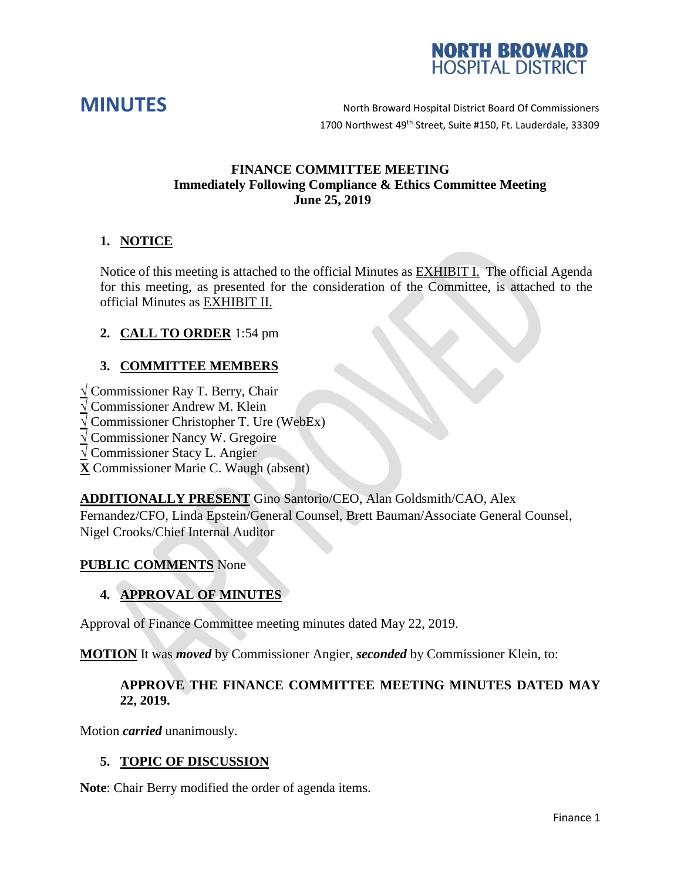



**MINUTES** North Broward Hospital District Board Of Commissioners 1700 Northwest 49<sup>th</sup> Street, Suite #150, Ft. Lauderdale, 33309

## **FINANCE COMMITTEE MEETING Immediately Following Compliance & Ethics Committee Meeting June 25, 2019**

# **1. NOTICE**

Notice of this meeting is attached to the official Minutes as EXHIBIT I. The official Agenda for this meeting, as presented for the consideration of the Committee, is attached to the official Minutes as EXHIBIT II.

# **2. CALL TO ORDER** 1:54 pm

# **3. COMMITTEE MEMBERS**

**√** Commissioner Ray T. Berry, Chair

- **√** Commissioner Andrew M. Klein
- **√** Commissioner Christopher T. Ure (WebEx)
- **√** Commissioner Nancy W. Gregoire
- **√** Commissioner Stacy L. Angier
- **X** Commissioner Marie C. Waugh (absent)

**ADDITIONALLY PRESENT** Gino Santorio/CEO, Alan Goldsmith/CAO, Alex Fernandez/CFO, Linda Epstein/General Counsel, Brett Bauman/Associate General Counsel, Nigel Crooks/Chief Internal Auditor

#### **PUBLIC COMMENTS** None

# **4. APPROVAL OF MINUTES**

Approval of Finance Committee meeting minutes dated May 22, 2019.

**MOTION** It was *moved* by Commissioner Angier, *seconded* by Commissioner Klein, to:

## **APPROVE THE FINANCE COMMITTEE MEETING MINUTES DATED MAY 22, 2019.**

Motion *carried* unanimously.

## **5. TOPIC OF DISCUSSION**

**Note**: Chair Berry modified the order of agenda items.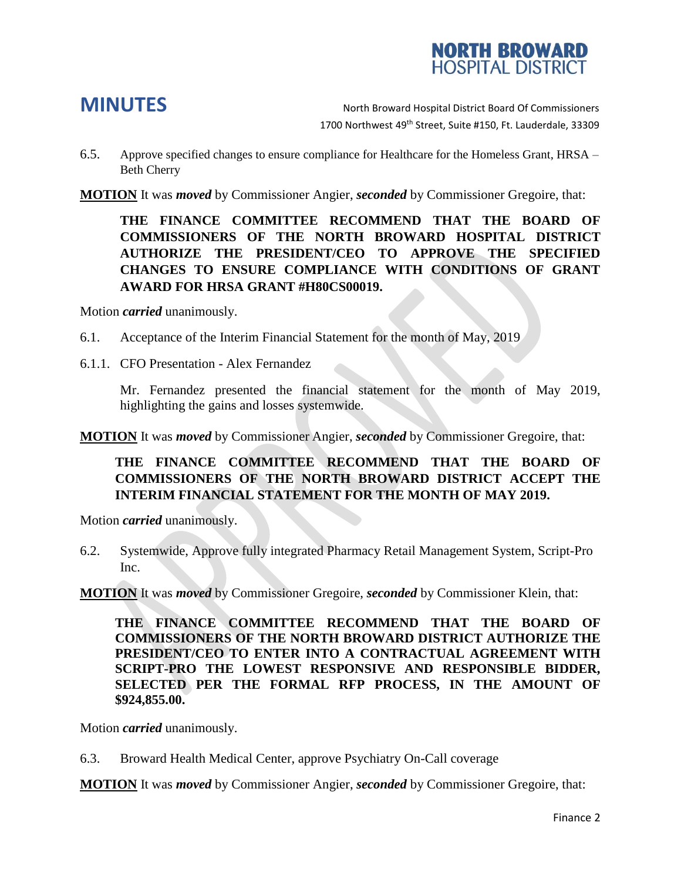

**MINUTES** North Broward Hospital District Board Of Commissioners 1700 Northwest 49<sup>th</sup> Street, Suite #150, Ft. Lauderdale, 33309

- 6.5. Approve specified changes to ensure compliance for Healthcare for the Homeless Grant, HRSA Beth Cherry
- **MOTION** It was *moved* by Commissioner Angier, *seconded* by Commissioner Gregoire, that:

**THE FINANCE COMMITTEE RECOMMEND THAT THE BOARD OF COMMISSIONERS OF THE NORTH BROWARD HOSPITAL DISTRICT AUTHORIZE THE PRESIDENT/CEO TO APPROVE THE SPECIFIED CHANGES TO ENSURE COMPLIANCE WITH CONDITIONS OF GRANT AWARD FOR HRSA GRANT #H80CS00019.**

Motion *carried* unanimously.

- 6.1. Acceptance of the Interim Financial Statement for the month of May, 2019
- 6.1.1. CFO Presentation Alex Fernandez

Mr. Fernandez presented the financial statement for the month of May 2019, highlighting the gains and losses systemwide.

**MOTION** It was *moved* by Commissioner Angier, *seconded* by Commissioner Gregoire, that:

# **THE FINANCE COMMITTEE RECOMMEND THAT THE BOARD OF COMMISSIONERS OF THE NORTH BROWARD DISTRICT ACCEPT THE INTERIM FINANCIAL STATEMENT FOR THE MONTH OF MAY 2019.**

Motion *carried* unanimously.

6.2. Systemwide, Approve fully integrated Pharmacy Retail Management System, Script-Pro Inc.

**MOTION** It was *moved* by Commissioner Gregoire, *seconded* by Commissioner Klein, that:

**THE FINANCE COMMITTEE RECOMMEND THAT THE BOARD OF COMMISSIONERS OF THE NORTH BROWARD DISTRICT AUTHORIZE THE PRESIDENT/CEO TO ENTER INTO A CONTRACTUAL AGREEMENT WITH SCRIPT-PRO THE LOWEST RESPONSIVE AND RESPONSIBLE BIDDER, SELECTED PER THE FORMAL RFP PROCESS, IN THE AMOUNT OF \$924,855.00.**

Motion *carried* unanimously.

6.3. Broward Health Medical Center, approve Psychiatry On-Call coverage

**MOTION** It was *moved* by Commissioner Angier, *seconded* by Commissioner Gregoire, that: